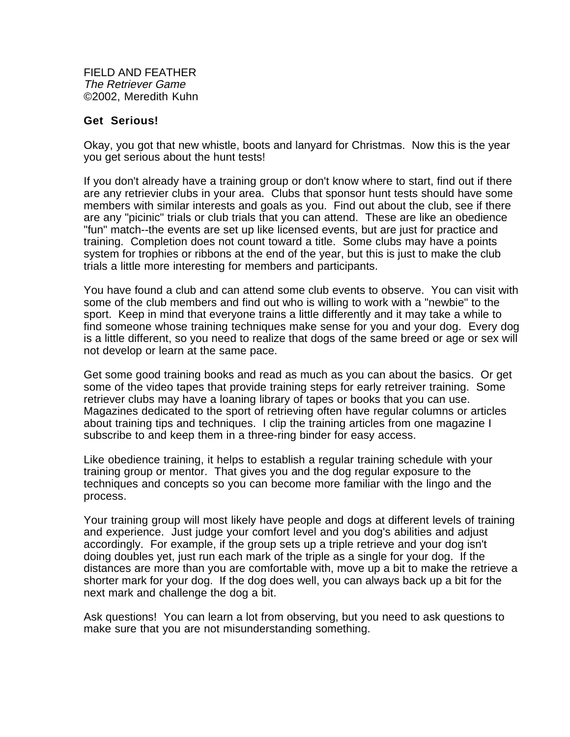FIELD AND FEATHER The Retriever Game ©2002, Meredith Kuhn

## **Get Serious!**

Okay, you got that new whistle, boots and lanyard for Christmas. Now this is the year you get serious about the hunt tests!

If you don't already have a training group or don't know where to start, find out if there are any retrievier clubs in your area. Clubs that sponsor hunt tests should have some members with similar interests and goals as you. Find out about the club, see if there are any "picinic" trials or club trials that you can attend. These are like an obedience "fun" match--the events are set up like licensed events, but are just for practice and training. Completion does not count toward a title. Some clubs may have a points system for trophies or ribbons at the end of the year, but this is just to make the club trials a little more interesting for members and participants.

You have found a club and can attend some club events to observe. You can visit with some of the club members and find out who is willing to work with a "newbie" to the sport. Keep in mind that everyone trains a little differently and it may take a while to find someone whose training techniques make sense for you and your dog. Every dog is a little different, so you need to realize that dogs of the same breed or age or sex will not develop or learn at the same pace.

Get some good training books and read as much as you can about the basics. Or get some of the video tapes that provide training steps for early retreiver training. Some retriever clubs may have a loaning library of tapes or books that you can use. Magazines dedicated to the sport of retrieving often have regular columns or articles about training tips and techniques. I clip the training articles from one magazine I subscribe to and keep them in a three-ring binder for easy access.

Like obedience training, it helps to establish a regular training schedule with your training group or mentor. That gives you and the dog regular exposure to the techniques and concepts so you can become more familiar with the lingo and the process.

Your training group will most likely have people and dogs at different levels of training and experience. Just judge your comfort level and you dog's abilities and adjust accordingly. For example, if the group sets up a triple retrieve and your dog isn't doing doubles yet, just run each mark of the triple as a single for your dog. If the distances are more than you are comfortable with, move up a bit to make the retrieve a shorter mark for your dog. If the dog does well, you can always back up a bit for the next mark and challenge the dog a bit.

Ask questions! You can learn a lot from observing, but you need to ask questions to make sure that you are not misunderstanding something.